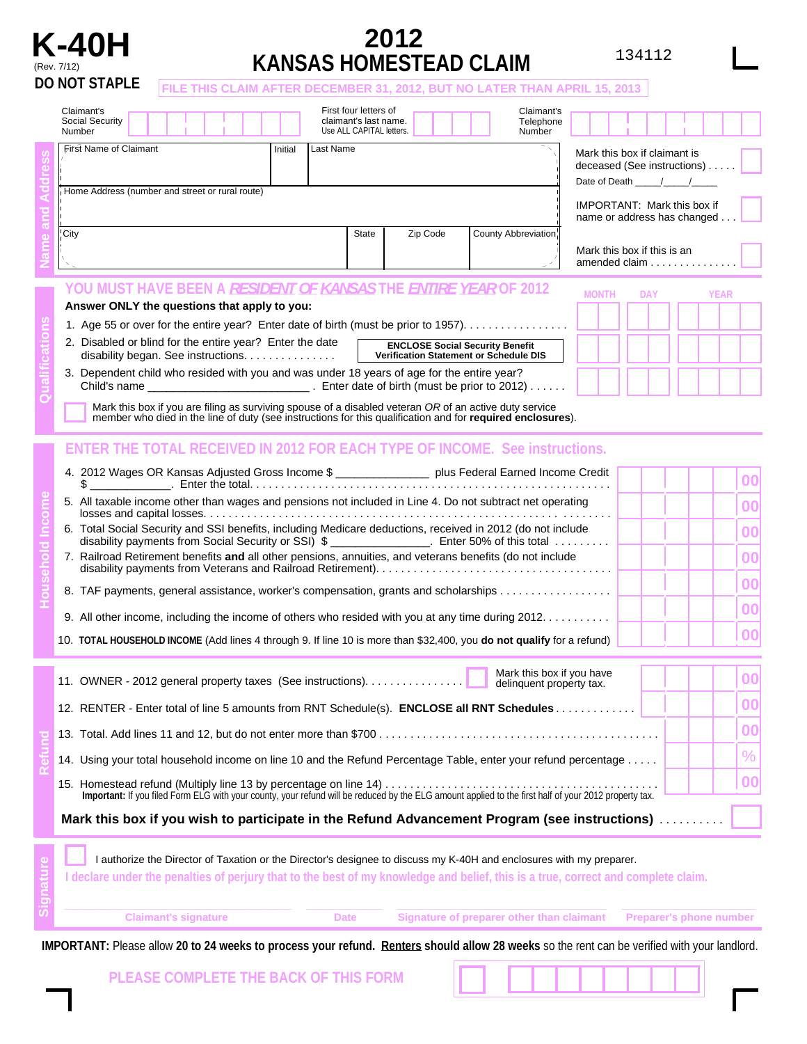

## **K-40H 2012**  (Rev. 7/12) **KANSAS HOMESTEAD CLAIM**

|--|

|                | <b>DO NOT STAPLE</b><br>FILE THIS CLAIM AFTER DECEMBER 31, 2012, BUT NO LATER THAN APRIL 15, 2013                                                                                                                                                                                                                                                                                                                                                                                                                                                                                                                                                                                                                                                                                                                                                                                                                                                                 |                                                                                          |                                                             |  |  |                              |  |  |  |
|----------------|-------------------------------------------------------------------------------------------------------------------------------------------------------------------------------------------------------------------------------------------------------------------------------------------------------------------------------------------------------------------------------------------------------------------------------------------------------------------------------------------------------------------------------------------------------------------------------------------------------------------------------------------------------------------------------------------------------------------------------------------------------------------------------------------------------------------------------------------------------------------------------------------------------------------------------------------------------------------|------------------------------------------------------------------------------------------|-------------------------------------------------------------|--|--|------------------------------|--|--|--|
|                | Claimant's<br>First four letters of<br>claimant's last name.<br>Social Security<br>Use ALL CAPITAL letters.<br>Number<br>Number                                                                                                                                                                                                                                                                                                                                                                                                                                                                                                                                                                                                                                                                                                                                                                                                                                   | Claimant's<br>Telephone                                                                  |                                                             |  |  |                              |  |  |  |
|                | First Name of Claimant<br>Last Name<br>Initial                                                                                                                                                                                                                                                                                                                                                                                                                                                                                                                                                                                                                                                                                                                                                                                                                                                                                                                    |                                                                                          | Mark this box if claimant is<br>deceased (See instructions) |  |  |                              |  |  |  |
|                | Home Address (number and street or rural route)                                                                                                                                                                                                                                                                                                                                                                                                                                                                                                                                                                                                                                                                                                                                                                                                                                                                                                                   | Date of Death /////<br><b>IMPORTANT: Mark this box if</b><br>name or address has changed |                                                             |  |  |                              |  |  |  |
|                | City<br>County Abbreviation<br>State<br>Zip Code                                                                                                                                                                                                                                                                                                                                                                                                                                                                                                                                                                                                                                                                                                                                                                                                                                                                                                                  | Mark this box if this is an<br>amended claim                                             |                                                             |  |  |                              |  |  |  |
|                | YOU MUST HAVE BEEN A <i>RESIDENT OF KANSAS</i> THE <i>ENTIRE YEAR</i> OF 2012<br><b>YEAR</b><br><b>MONTH</b><br><b>DAY</b><br>Answer ONLY the questions that apply to you:<br>1. Age 55 or over for the entire year? Enter date of birth (must be prior to 1957).                                                                                                                                                                                                                                                                                                                                                                                                                                                                                                                                                                                                                                                                                                 |                                                                                          |                                                             |  |  |                              |  |  |  |
|                | 3. Dependent child who resided with you and was under 18 years of age for the entire year?<br>Mark this box if you are filing as surviving spouse of a disabled veteran OR of an active duty service member who died in the line of duty (see instructions for this qualification and for required enclosures).                                                                                                                                                                                                                                                                                                                                                                                                                                                                                                                                                                                                                                                   |                                                                                          |                                                             |  |  |                              |  |  |  |
| $\overline{c}$ | <b>ENTER THE TOTAL RECEIVED IN 2012 FOR EACH TYPE OF INCOME. See instructions.</b><br>4. 2012 Wages OR Kansas Adjusted Gross Income \$ ________________ plus Federal Earned Income Credit<br>5. All taxable income other than wages and pensions not included in Line 4. Do not subtract net operating<br>6. Total Social Security and SSI benefits, including Medicare deductions, received in 2012 (do not include<br>disability payments from Social Security or SSI) $\frac{1}{2}$ ________________. Enter 50% of this total<br>7. Railroad Retirement benefits and all other pensions, annuities, and veterans benefits (do not include<br>8. TAF payments, general assistance, worker's compensation, grants and scholarships<br>9. All other income, including the income of others who resided with you at any time during 2012.<br>10. TOTAL HOUSEHOLD INCOME (Add lines 4 through 9. If line 10 is more than \$32,400, you do not qualify for a refund) |                                                                                          |                                                             |  |  |                              |  |  |  |
|                | 11. OWNER - 2012 general property taxes (See instructions).<br>delinquent property tax.<br>12. RENTER - Enter total of line 5 amounts from RNT Schedule(s). ENCLOSE all RNT Schedules<br>14. Using your total household income on line 10 and the Refund Percentage Table, enter your refund percentage                                                                                                                                                                                                                                                                                                                                                                                                                                                                                                                                                                                                                                                           |                                                                                          | Mark this box if you have                                   |  |  | 00<br>00<br>00<br>$\%$<br>00 |  |  |  |
|                | Mark this box if you wish to participate in the Refund Advancement Program (see instructions)                                                                                                                                                                                                                                                                                                                                                                                                                                                                                                                                                                                                                                                                                                                                                                                                                                                                     |                                                                                          |                                                             |  |  |                              |  |  |  |

|                                                                                                                                   | I authorize the Director of Taxation or the Director's designee to discuss my K-40H and enclosures with my preparer. |  |
|-----------------------------------------------------------------------------------------------------------------------------------|----------------------------------------------------------------------------------------------------------------------|--|
| I declare under the penalties of perjury that to the best of my knowledge and belief, this is a true, correct and complete claim. |                                                                                                                      |  |
|                                                                                                                                   |                                                                                                                      |  |
| Olateranda atasan ing p                                                                                                           | Others at the communication of the contribution of the Department of the contribution of                             |  |

IMPORTANT: Please allow 20 to 24 weeks to process your refund. Renters should allow 28 weeks so the rent can be verified with your landlord.

**PLEASE COMPLETE THE BACK OF THIS FORM**